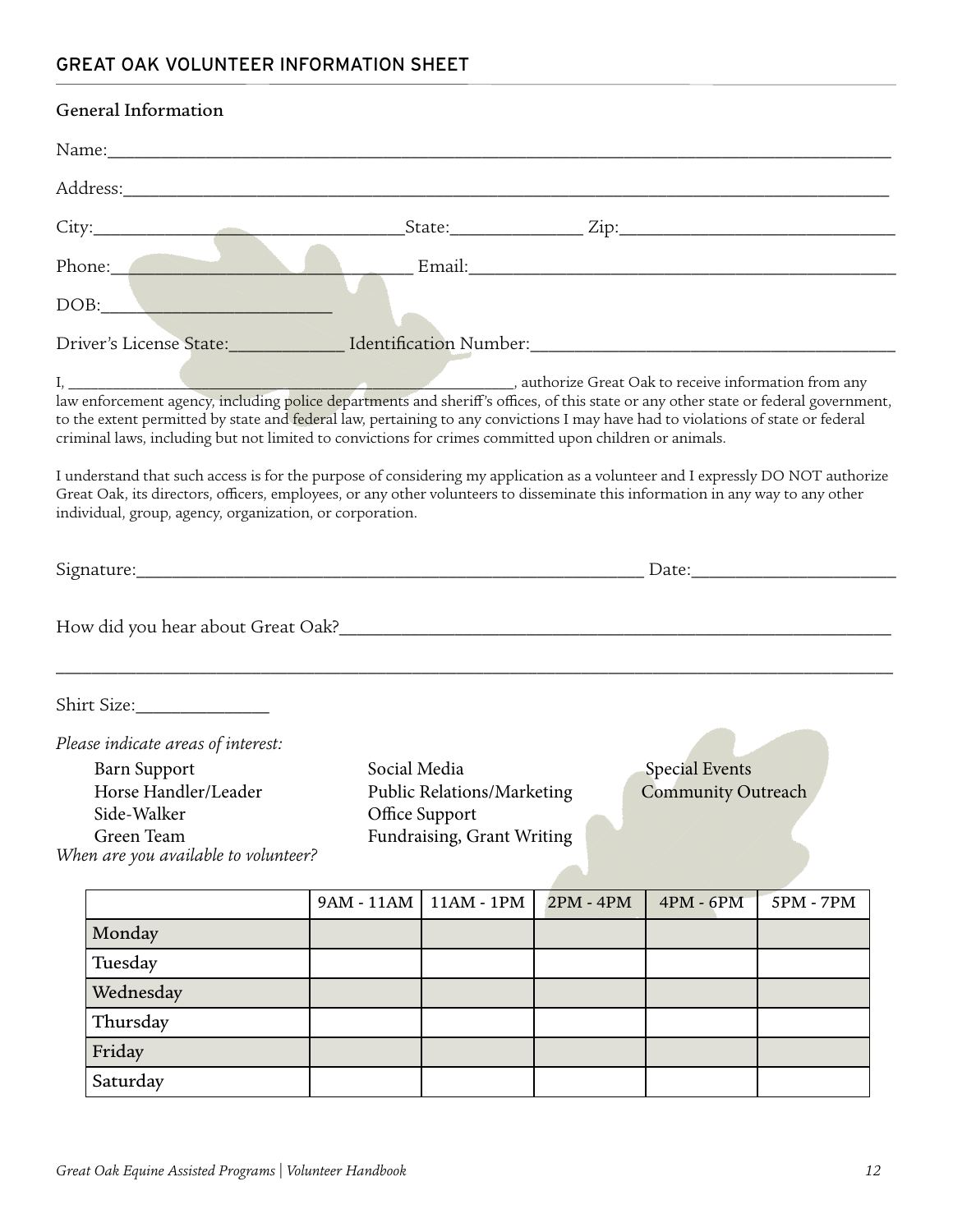## GREAT OAK VOLUNTEER INFORMATION SHEET

| General Information                                                                                                                                                                                                                                                                                                                                                                                                                                                                                                                                                        |                |                                                  |           |                       |                  |  |
|----------------------------------------------------------------------------------------------------------------------------------------------------------------------------------------------------------------------------------------------------------------------------------------------------------------------------------------------------------------------------------------------------------------------------------------------------------------------------------------------------------------------------------------------------------------------------|----------------|--------------------------------------------------|-----------|-----------------------|------------------|--|
|                                                                                                                                                                                                                                                                                                                                                                                                                                                                                                                                                                            |                |                                                  |           |                       |                  |  |
| Address: Andreas Address: Address: Address: Address: Address: Address: Address: Address: Address: Address: Address: Address: Address: Address: Address: Address: Address: Address: Address: Address: Address: Address: Address                                                                                                                                                                                                                                                                                                                                             |                |                                                  |           |                       |                  |  |
|                                                                                                                                                                                                                                                                                                                                                                                                                                                                                                                                                                            |                |                                                  |           |                       |                  |  |
| Phone: Email: Email:                                                                                                                                                                                                                                                                                                                                                                                                                                                                                                                                                       |                |                                                  |           |                       |                  |  |
| DOB:                                                                                                                                                                                                                                                                                                                                                                                                                                                                                                                                                                       |                |                                                  |           |                       |                  |  |
| Driver's License State: Manuel Mentification Number: Manuel Municipal Account 2014                                                                                                                                                                                                                                                                                                                                                                                                                                                                                         |                |                                                  |           |                       |                  |  |
| to the extent permitted by state and federal law, pertaining to any convictions I may have had to violations of state or federal<br>criminal laws, including but not limited to convictions for crimes committed upon children or animals.<br>I understand that such access is for the purpose of considering my application as a volunteer and I expressly DO NOT authorize<br>Great Oak, its directors, officers, employees, or any other volunteers to disseminate this information in any way to any other<br>individual, group, agency, organization, or corporation. |                |                                                  |           |                       |                  |  |
|                                                                                                                                                                                                                                                                                                                                                                                                                                                                                                                                                                            |                |                                                  |           |                       |                  |  |
|                                                                                                                                                                                                                                                                                                                                                                                                                                                                                                                                                                            |                |                                                  |           |                       |                  |  |
| Shirt Size: 1988                                                                                                                                                                                                                                                                                                                                                                                                                                                                                                                                                           |                |                                                  |           |                       |                  |  |
| Please indicate areas of interest:                                                                                                                                                                                                                                                                                                                                                                                                                                                                                                                                         |                |                                                  |           |                       |                  |  |
| <b>Barn Support</b>                                                                                                                                                                                                                                                                                                                                                                                                                                                                                                                                                        | Social Media   |                                                  |           | <b>Special Events</b> |                  |  |
| Horse Handler/Leader                                                                                                                                                                                                                                                                                                                                                                                                                                                                                                                                                       |                | Public Relations/Marketing<br>Community Outreach |           |                       |                  |  |
| Side-Walker                                                                                                                                                                                                                                                                                                                                                                                                                                                                                                                                                                | Office Support |                                                  |           |                       |                  |  |
| Green Team                                                                                                                                                                                                                                                                                                                                                                                                                                                                                                                                                                 |                | Fundraising, Grant Writing                       |           |                       |                  |  |
| When are you available to volunteer?                                                                                                                                                                                                                                                                                                                                                                                                                                                                                                                                       |                |                                                  |           |                       |                  |  |
|                                                                                                                                                                                                                                                                                                                                                                                                                                                                                                                                                                            | 9AM - 11AM     | $11AM - 1PM$                                     | 2PM - 4PM | $4PM - 6PM$           | <b>5PM - 7PM</b> |  |
| Monday                                                                                                                                                                                                                                                                                                                                                                                                                                                                                                                                                                     |                |                                                  |           |                       |                  |  |
| Tuesday                                                                                                                                                                                                                                                                                                                                                                                                                                                                                                                                                                    |                |                                                  |           |                       |                  |  |
| Wednesday                                                                                                                                                                                                                                                                                                                                                                                                                                                                                                                                                                  |                |                                                  |           |                       |                  |  |
| Thursday                                                                                                                                                                                                                                                                                                                                                                                                                                                                                                                                                                   |                |                                                  |           |                       |                  |  |
| Friday                                                                                                                                                                                                                                                                                                                                                                                                                                                                                                                                                                     |                |                                                  |           |                       |                  |  |

Saturday